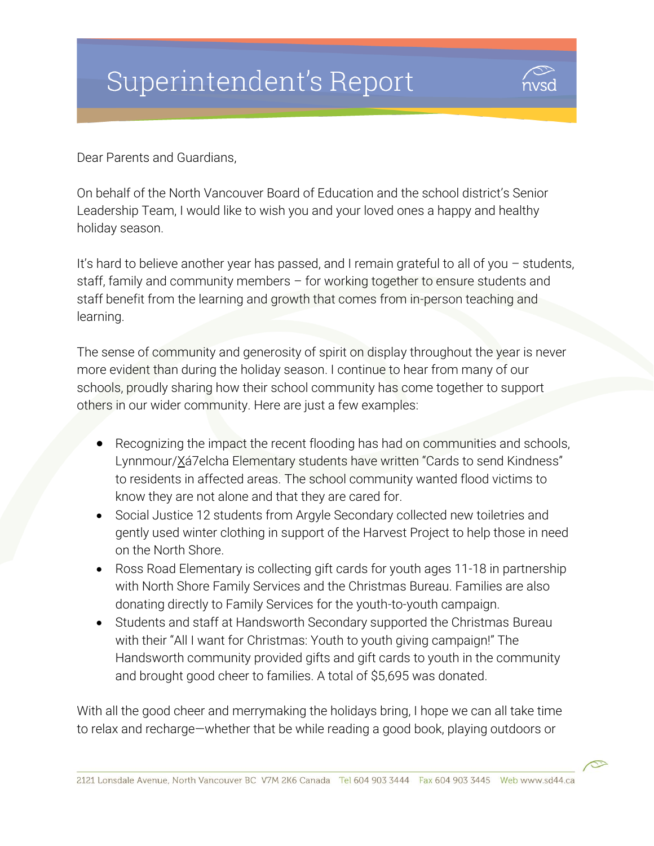# Superintendent's Report



Dear Parents and Guardians,

On behalf of the North Vancouver Board of Education and the school district's Senior Leadership Team, I would like to wish you and your loved ones a happy and healthy holiday season.

It's hard to believe another year has passed, and I remain grateful to all of you – students, staff, family and community members – for working together to ensure students and staff benefit from the learning and growth that comes from in-person teaching and learning.

The sense of community and generosity of spirit on display throughout the year is never more evident than during the holiday season. I continue to hear from many of our schools, proudly sharing how their school community has come together to support others in our wider community. Here are just a few examples:

- Recognizing the impact the recent flooding has had on communities and schools, Lynnmour/Xá7elcha Elementary students have written "Cards to send Kindness" to residents in affected areas. The school community wanted flood victims to know they are not alone and that they are cared for.
- Social Justice 12 students from Argyle Secondary collected new toiletries and gently used winter clothing in support of the Harvest Project to help those in need on the North Shore.
- Ross Road Elementary is collecting gift cards for youth ages 11-18 in partnership with North Shore Family Services and the Christmas Bureau. Families are also donating directly to Family Services for the youth-to-youth campaign.
- Students and staff at Handsworth Secondary supported the Christmas Bureau with their "All I want for Christmas: Youth to youth giving campaign!" The Handsworth community provided gifts and gift cards to youth in the community and brought good cheer to families. A total of \$5,695 was donated.

With all the good cheer and merrymaking the holidays bring, I hope we can all take time to relax and recharge—whether that be while reading a good book, playing outdoors or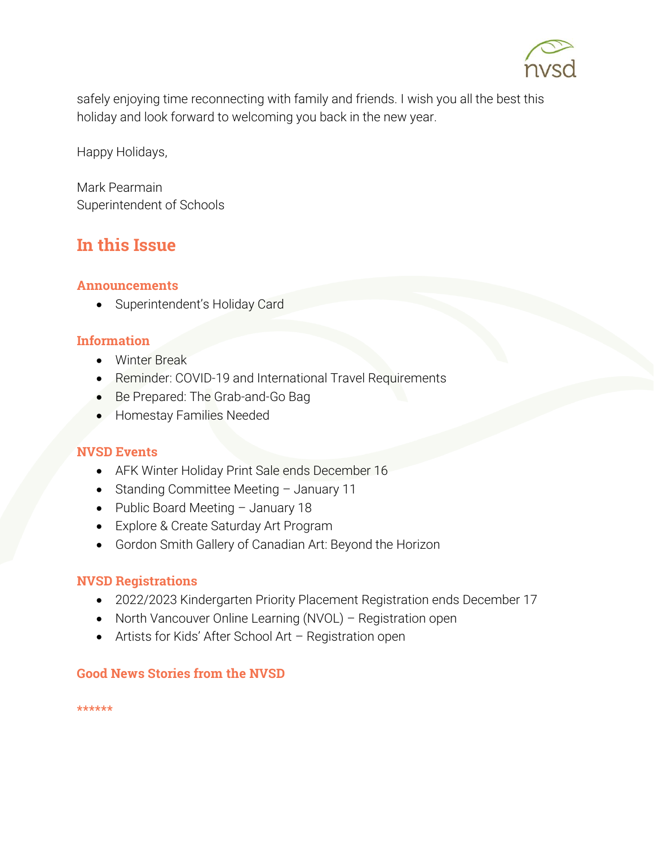

safely enjoying time reconnecting with family and friends. I wish you all the best this holiday and look forward to welcoming you back in the new year.

Happy Holidays,

Mark Pearmain Superintendent of Schools

# In this Issue

#### Announcements

Superintendent's Holiday Card

#### Information

- Winter Break
- Reminder: COVID-19 and International Travel Requirements
- Be Prepared: The Grab-and-Go Bag
- **Homestay Families Needed**

#### NVSD Events

- AFK Winter Holiday Print Sale ends December 16
- Standing Committee Meeting January 11
- Public Board Meeting January 18
- Explore & Create Saturday Art Program
- Gordon Smith Gallery of Canadian Art: Beyond the Horizon

#### NVSD Registrations

- 2022/2023 Kindergarten Priority Placement Registration ends December 17
- North Vancouver Online Learning (NVOL) Registration open
- Artists for Kids' After School Art Registration open

#### Good News Stories from the NVSD

\*\*\*\*\*\*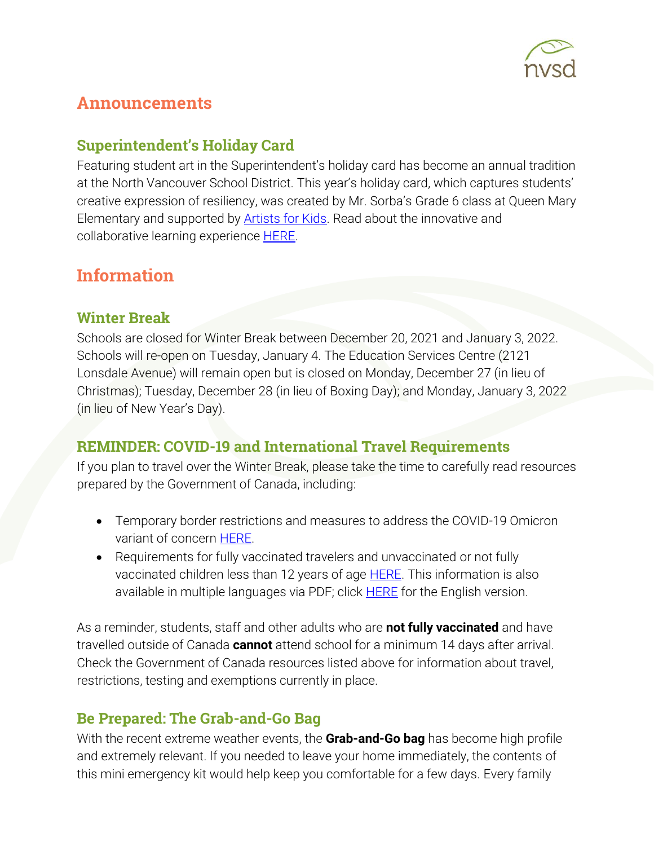

# Announcements

## Superintendent's Holiday Card

Featuring student art in the Superintendent's holiday card has become an annual tradition at the North Vancouver School District. This year's holiday card, which captures students' creative expression of resiliency, was created by Mr. Sorba's Grade 6 class at Queen Mary Elementary and supported by [Artists for Kids.](https://www.sd44.ca/school/artistsforkids/Pages/default.aspx#/=) Read about the innovative and collaborative learning experience **HERE**.

# Information

### Winter Break

Schools are closed for Winter Break between December 20, 2021 and January 3, 2022. Schools will re-open on Tuesday, January 4. The Education Services Centre (2121 Lonsdale Avenue) will remain open but is closed on Monday, December 27 (in lieu of Christmas); Tuesday, December 28 (in lieu of Boxing Day); and Monday, January 3, 2022 (in lieu of New Year's Day).

## REMINDER: COVID-19 and International Travel Requirements

If you plan to travel over the Winter Break, please take the time to carefully read resources prepared by the Government of Canada, including:

- Temporary border restrictions and measures to address the COVID-19 Omicron variant of concern **HERE**.
- Requirements for fully vaccinated travelers and unvaccinated or not fully vaccinated children less than 12 years of age **HERE**. This information is also available in multiple languages via PDF; click **HERE** for the English version.

As a reminder, students, staff and other adults who are **not fully vaccinated** and have travelled outside of Canada **cannot** attend school for a minimum 14 days after arrival. Check the Government of Canada resources listed above for information about travel, restrictions, testing and exemptions currently in place.

## Be Prepared: The Grab-and-Go Bag

With the recent extreme weather events, the **Grab-and-Go bag** has become high profile and extremely relevant. If you needed to leave your home immediately, the contents of this mini emergency kit would help keep you comfortable for a few days. Every family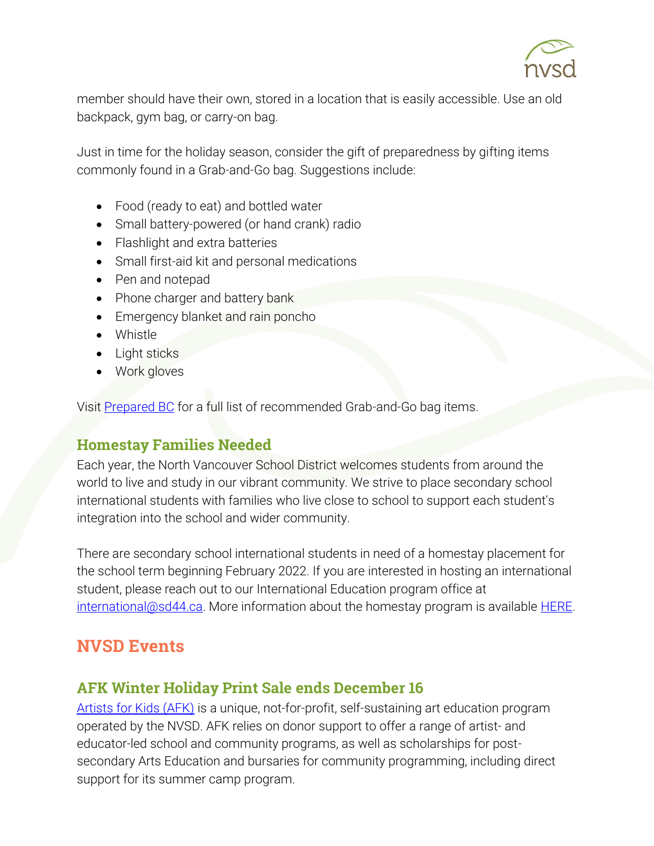

member should have their own, stored in a location that is easily accessible. Use an old backpack, gym bag, or carry-on bag.

Just in time for the holiday season, consider the gift of preparedness by gifting items commonly found in a Grab-and-Go bag. Suggestions include:

- Food (ready to eat) and bottled water
- Small battery-powered (or hand crank) radio
- Flashlight and extra batteries
- Small first-aid kit and personal medications
- Pen and notepad
- Phone charger and battery bank
- Emergency blanket and rain poncho
- Whistle
- Light sticks
- Work gloves

Visit [Prepared BC](https://www2.gov.bc.ca/gov/content/safety/emergency-management/preparedbc/build-an-emergency-kit-and-grab-and-go-bag) for a full list of recommended Grab-and-Go bag items.

## Homestay Families Needed

Each year, the North Vancouver School District welcomes students from around the world to live and study in our vibrant community. We strive to place secondary school international students with families who live close to school to support each student's integration into the school and wider community.

There are secondary school international students in need of a homestay placement for the school term beginning February 2022. If you are interested in hosting an international student, please reach out to our International Education program office at [international@sd44.ca.](mailto:international@sd44.ca) More information about the homestay program is available [HERE.](https://www.sd44.ca/ProgramsServices/InternationalEd/Homestay%20Information/Pages/default.aspx#/=)

# NVSD Events

## AFK Winter Holiday Print Sale ends December 16

[Artists for Kids \(AFK\)](https://www.sd44.ca/school/artistsforkids/Pages/default.aspx#/=) is a unique, not-for-profit, self-sustaining art education program operated by the NVSD. AFK relies on donor support to offer a range of artist- and educator-led school and community programs, as well as scholarships for postsecondary Arts Education and bursaries for community programming, including direct support for its summer camp program.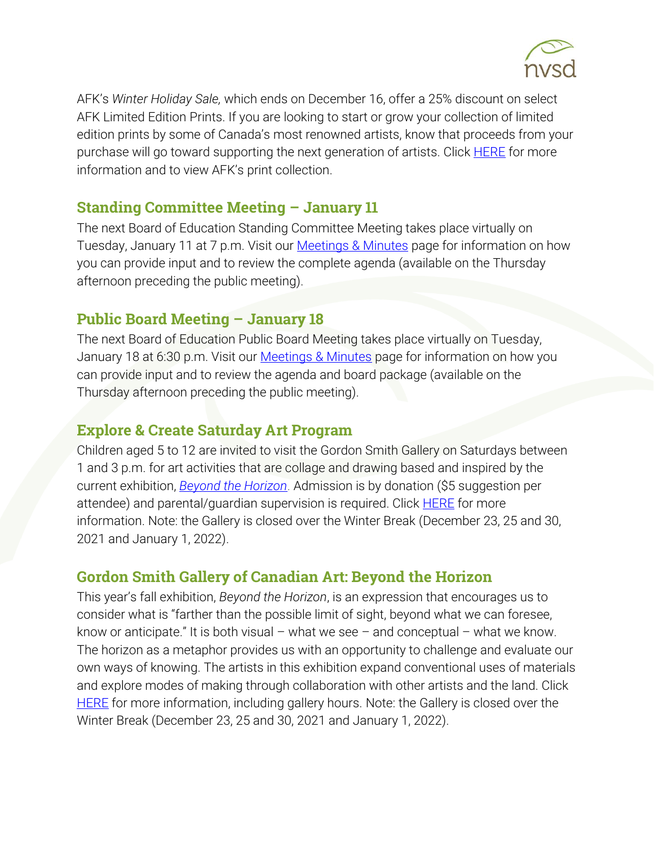

AFK's *Winter Holiday Sale,* which ends on December 16, offer a 25% discount on select AFK Limited Edition Prints. If you are looking to start or grow your collection of limited edition prints by some of Canada's most renowned artists, know that proceeds from your purchase will go toward supporting the next generation of artists. Click **HERE** for more information and to view AFK's print collection.

### Standing Committee Meeting – January 11

The next Board of Education Standing Committee Meeting takes place virtually on Tuesday, January 11 at 7 p.m. Visit our **Meetings & Minutes** page for information on how you can provide input and to review the complete agenda (available on the Thursday afternoon preceding the public meeting).

## Public Board Meeting – January 18

The next Board of Education Public Board Meeting takes place virtually on Tuesday, January 18 at 6:30 p.m. Visit our [Meetings & Minutes](https://www.sd44.ca/Board/Meetings/Pages/default.aspx#/=) page for information on how you can provide input and to review the agenda and board package (available on the Thursday afternoon preceding the public meeting).

## Explore & Create Saturday Art Program

Children aged 5 to 12 are invited to visit the Gordon Smith Gallery on Saturdays between 1 and 3 p.m. for art activities that are collage and drawing based and inspired by the current exhibition, *[Beyond the Horizon](https://www.sd44.ca/school/artistsforkids/Visit/Exhibitions/Pages/default.aspx#/=)*. Admission is by donation (\$5 suggestion per attendee) and parental/guardian supervision is required. Click [HERE](https://smithfoundation.co/engage/public-programs/) for more information. Note: the Gallery is closed over the Winter Break (December 23, 25 and 30, 2021 and January 1, 2022).

## Gordon Smith Gallery of Canadian Art: Beyond the Horizon

This year's fall exhibition, *Beyond the Horizon*, is an expression that encourages us to consider what is "farther than the possible limit of sight, beyond what we can foresee, know or anticipate." It is both visual – what we see – and conceptual – what we know. The horizon as a metaphor provides us with an opportunity to challenge and evaluate our own ways of knowing. The artists in this exhibition expand conventional uses of materials and explore modes of making through collaboration with other artists and the land. Click **[HERE](https://www.sd44.ca/school/artistsforkids/Visit/Exhibitions/Pages/default.aspx#/=)** for more information, including gallery hours. Note: the Gallery is closed over the Winter Break (December 23, 25 and 30, 2021 and January 1, 2022).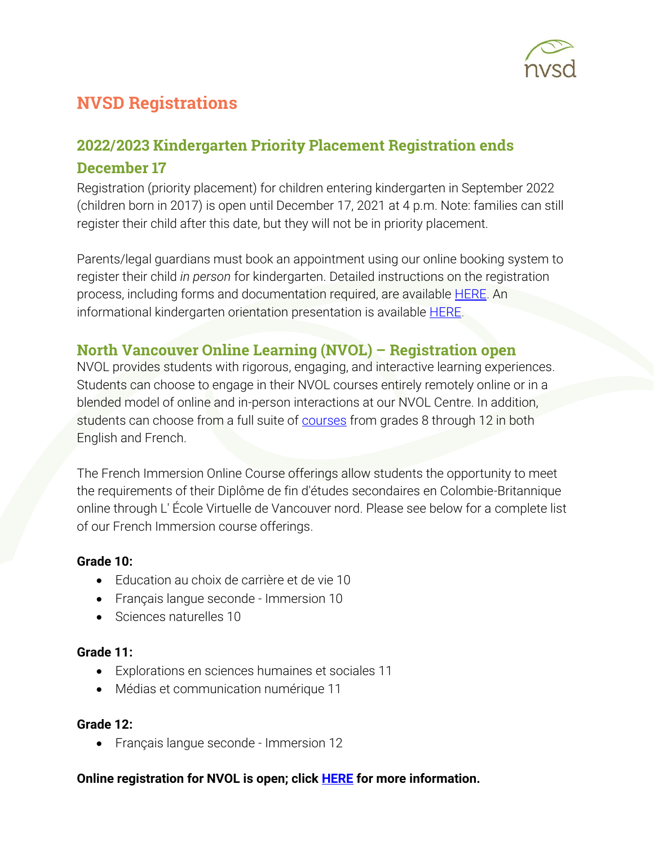

# NVSD Registrations

# 2022/2023 Kindergarten Priority Placement Registration ends December 17

Registration (priority placement) for children entering kindergarten in September 2022 (children born in 2017) is open until December 17, 2021 at 4 p.m. Note: families can still register their child after this date, but they will not be in priority placement.

Parents/legal guardians must book an appointment using our online booking system to register their child *in person* for kindergarten. Detailed instructions on the registration process, including forms and documentation required, are available [HERE.](https://www.sd44.ca/Schools/StudentRegistration/KindergartenRegistration/Pages/default.aspx#/=) An informational kindergarten orientation presentation is available [HERE.](https://www.sd44.ca/ProgramsServices/earlylearning/kindergarten/Pages/default.aspx#/=)

### North Vancouver Online Learning (NVOL) – Registration open

NVOL provides students with rigorous, engaging, and interactive learning experiences. Students can choose to engage in their NVOL courses entirely remotely online or in a blended model of online and in-person interactions at our NVOL Centre. In addition, students can choose from a full suite of **courses** from grades 8 through 12 in both English and French.

The French Immersion Online Course offerings allow students the opportunity to meet the requirements of their Diplôme de fin d'études secondaires en Colombie-Britannique online through L' École Virtuelle de Vancouver nord. Please see below for a complete list of our French Immersion course offerings.

#### **Grade 10:**

- Education au choix de carrière et de vie 10
- Français langue seconde Immersion 10
- Sciences naturelles 10

#### **Grade 11:**

- Explorations en sciences humaines et sociales 11
- Médias et communication numérique 11

#### **Grade 12:**

• Français langue seconde - Immersion 12

#### **Online registration for NVOL is open; click [HERE](https://www.sd44.ca/school/onlinelearning/About/registration/Pages/default.aspx#/=) for more information.**